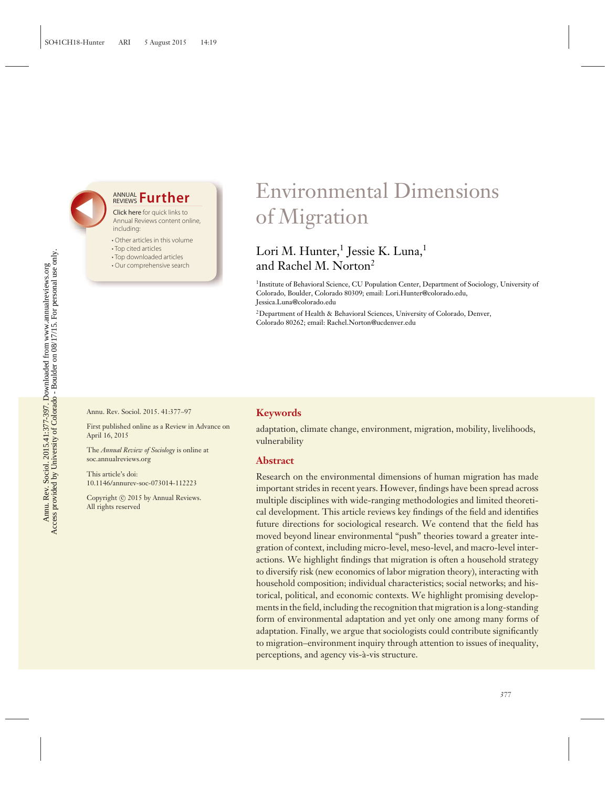## **ANNUAL Further**

Click here for quick links to Annual Reviews content online, including:

- Other articles in this volume
- Top cited articles
- Top downloaded articles
- Our comprehensive search

# Environmental Dimensions of Migration

## Lori M. Hunter,<sup>1</sup> Jessie K. Luna,<sup>1</sup> and Rachel M. Norton<sup>2</sup>

1Institute of Behavioral Science, CU Population Center, Department of Sociology, University of Colorado, Boulder, Colorado 80309; email: Lori.Hunter@colorado.edu, Jessica.Luna@colorado.edu

2Department of Health & Behavioral Sciences, University of Colorado, Denver, Colorado 80262; email: Rachel.Norton@ucdenver.edu

Annu. Rev. Sociol. 2015. 41:377–97

First published online as a Review in Advance on April 16, 2015

The *Annual Review of Sociology* is online at soc.annualreviews.org

This article's doi: 10.1146/annurev-soc-073014-112223

Copyright © 2015 by Annual Reviews. All rights reserved

#### **Keywords**

adaptation, climate change, environment, migration, mobility, livelihoods, vulnerability

#### **Abstract**

Research on the environmental dimensions of human migration has made important strides in recent years. However, findings have been spread across multiple disciplines with wide-ranging methodologies and limited theoretical development. This article reviews key findings of the field and identifies future directions for sociological research. We contend that the field has moved beyond linear environmental "push" theories toward a greater integration of context, including micro-level, meso-level, and macro-level interactions. We highlight findings that migration is often a household strategy to diversify risk (new economics of labor migration theory), interacting with household composition; individual characteristics; social networks; and historical, political, and economic contexts. We highlight promising developments in the field, including the recognition that migration is a long-standing form of environmental adaptation and yet only one among many forms of adaptation. Finally, we argue that sociologists could contribute significantly to migration–environment inquiry through attention to issues of inequality, perceptions, and agency vis-à-vis structure.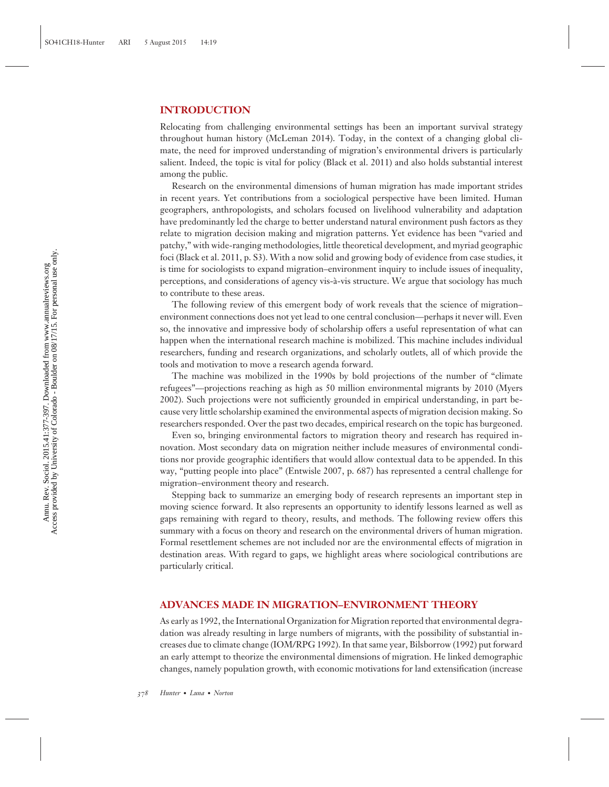#### **INTRODUCTION**

Relocating from challenging environmental settings has been an important survival strategy throughout human history (McLeman 2014). Today, in the context of a changing global climate, the need for improved understanding of migration's environmental drivers is particularly salient. Indeed, the topic is vital for policy (Black et al. 2011) and also holds substantial interest among the public.

Research on the environmental dimensions of human migration has made important strides in recent years. Yet contributions from a sociological perspective have been limited. Human geographers, anthropologists, and scholars focused on livelihood vulnerability and adaptation have predominantly led the charge to better understand natural environment push factors as they relate to migration decision making and migration patterns. Yet evidence has been "varied and patchy," with wide-ranging methodologies, little theoretical development, and myriad geographic foci (Black et al. 2011, p. S3). With a now solid and growing body of evidence from case studies, it is time for sociologists to expand migration–environment inquiry to include issues of inequality, perceptions, and considerations of agency vis-a-vis structure. We argue that sociology has much ` to contribute to these areas.

The following review of this emergent body of work reveals that the science of migration– environment connections does not yet lead to one central conclusion—perhaps it never will. Even so, the innovative and impressive body of scholarship offers a useful representation of what can happen when the international research machine is mobilized. This machine includes individual researchers, funding and research organizations, and scholarly outlets, all of which provide the tools and motivation to move a research agenda forward.

The machine was mobilized in the 1990s by bold projections of the number of "climate refugees"—projections reaching as high as 50 million environmental migrants by 2010 (Myers 2002). Such projections were not sufficiently grounded in empirical understanding, in part because very little scholarship examined the environmental aspects of migration decision making. So researchers responded. Over the past two decades, empirical research on the topic has burgeoned.

Even so, bringing environmental factors to migration theory and research has required innovation. Most secondary data on migration neither include measures of environmental conditions nor provide geographic identifiers that would allow contextual data to be appended. In this way, "putting people into place" (Entwisle 2007, p. 687) has represented a central challenge for migration–environment theory and research.

Stepping back to summarize an emerging body of research represents an important step in moving science forward. It also represents an opportunity to identify lessons learned as well as gaps remaining with regard to theory, results, and methods. The following review offers this summary with a focus on theory and research on the environmental drivers of human migration. Formal resettlement schemes are not included nor are the environmental effects of migration in destination areas. With regard to gaps, we highlight areas where sociological contributions are particularly critical.

#### **ADVANCES MADE IN MIGRATION–ENVIRONMENT THEORY**

As early as 1992, the International Organization for Migration reported that environmental degradation was already resulting in large numbers of migrants, with the possibility of substantial increases due to climate change (IOM/RPG 1992). In that same year, Bilsborrow (1992) put forward an early attempt to theorize the environmental dimensions of migration. He linked demographic changes, namely population growth, with economic motivations for land extensification (increase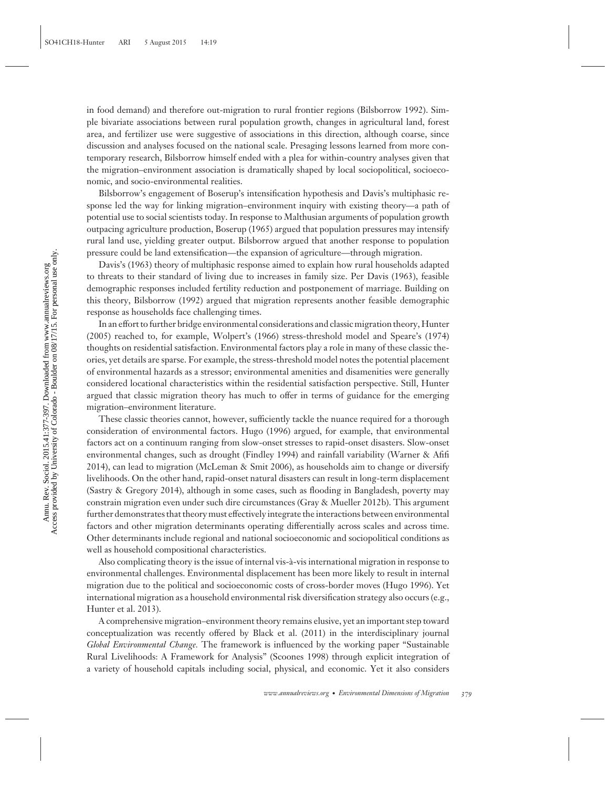in food demand) and therefore out-migration to rural frontier regions (Bilsborrow 1992). Simple bivariate associations between rural population growth, changes in agricultural land, forest area, and fertilizer use were suggestive of associations in this direction, although coarse, since discussion and analyses focused on the national scale. Presaging lessons learned from more contemporary research, Bilsborrow himself ended with a plea for within-country analyses given that the migration–environment association is dramatically shaped by local sociopolitical, socioeconomic, and socio-environmental realities.

Bilsborrow's engagement of Boserup's intensification hypothesis and Davis's multiphasic response led the way for linking migration–environment inquiry with existing theory—a path of potential use to social scientists today. In response to Malthusian arguments of population growth outpacing agriculture production, Boserup (1965) argued that population pressures may intensify rural land use, yielding greater output. Bilsborrow argued that another response to population pressure could be land extensification—the expansion of agriculture—through migration.

Davis's (1963) theory of multiphasic response aimed to explain how rural households adapted to threats to their standard of living due to increases in family size. Per Davis (1963), feasible demographic responses included fertility reduction and postponement of marriage. Building on this theory, Bilsborrow (1992) argued that migration represents another feasible demographic response as households face challenging times.

In an effort to further bridge environmental considerations and classic migration theory, Hunter (2005) reached to, for example, Wolpert's (1966) stress-threshold model and Speare's (1974) thoughts on residential satisfaction. Environmental factors play a role in many of these classic theories, yet details are sparse. For example, the stress-threshold model notes the potential placement of environmental hazards as a stressor; environmental amenities and disamenities were generally considered locational characteristics within the residential satisfaction perspective. Still, Hunter argued that classic migration theory has much to offer in terms of guidance for the emerging migration–environment literature.

These classic theories cannot, however, sufficiently tackle the nuance required for a thorough consideration of environmental factors. Hugo (1996) argued, for example, that environmental factors act on a continuum ranging from slow-onset stresses to rapid-onset disasters. Slow-onset environmental changes, such as drought (Findley 1994) and rainfall variability (Warner & Afifi 2014), can lead to migration (McLeman & Smit 2006), as households aim to change or diversify livelihoods. On the other hand, rapid-onset natural disasters can result in long-term displacement (Sastry & Gregory 2014), although in some cases, such as flooding in Bangladesh, poverty may constrain migration even under such dire circumstances (Gray & Mueller 2012b). This argument further demonstrates that theory must effectively integrate the interactions between environmental factors and other migration determinants operating differentially across scales and across time. Other determinants include regional and national socioeconomic and sociopolitical conditions as well as household compositional characteristics.

Also complicating theory is the issue of internal vis-a-vis international migration in response to ` environmental challenges. Environmental displacement has been more likely to result in internal migration due to the political and socioeconomic costs of cross-border moves (Hugo 1996). Yet international migration as a household environmental risk diversification strategy also occurs (e.g., Hunter et al. 2013).

A comprehensive migration–environment theory remains elusive, yet an important step toward conceptualization was recently offered by Black et al. (2011) in the interdisciplinary journal *Global Environmental Change.* The framework is influenced by the working paper "Sustainable Rural Livelihoods: A Framework for Analysis" (Scoones 1998) through explicit integration of a variety of household capitals including social, physical, and economic. Yet it also considers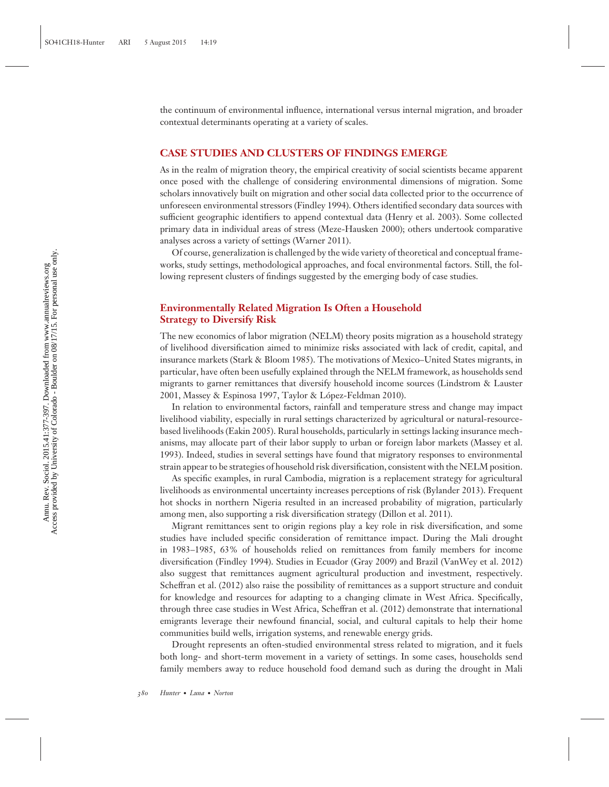the continuum of environmental influence, international versus internal migration, and broader contextual determinants operating at a variety of scales.

#### **CASE STUDIES AND CLUSTERS OF FINDINGS EMERGE**

As in the realm of migration theory, the empirical creativity of social scientists became apparent once posed with the challenge of considering environmental dimensions of migration. Some scholars innovatively built on migration and other social data collected prior to the occurrence of unforeseen environmental stressors (Findley 1994). Others identified secondary data sources with sufficient geographic identifiers to append contextual data (Henry et al. 2003). Some collected primary data in individual areas of stress (Meze-Hausken 2000); others undertook comparative analyses across a variety of settings (Warner 2011).

Of course, generalization is challenged by the wide variety of theoretical and conceptual frameworks, study settings, methodological approaches, and focal environmental factors. Still, the following represent clusters of findings suggested by the emerging body of case studies.

#### **Environmentally Related Migration Is Often a Household Strategy to Diversify Risk**

The new economics of labor migration (NELM) theory posits migration as a household strategy of livelihood diversification aimed to minimize risks associated with lack of credit, capital, and insurance markets (Stark & Bloom 1985). The motivations of Mexico–United States migrants, in particular, have often been usefully explained through the NELM framework, as households send migrants to garner remittances that diversify household income sources (Lindstrom & Lauster 2001, Massey & Espinosa 1997, Taylor & López-Feldman 2010).

In relation to environmental factors, rainfall and temperature stress and change may impact livelihood viability, especially in rural settings characterized by agricultural or natural-resourcebased livelihoods (Eakin 2005). Rural households, particularly in settings lacking insurance mechanisms, may allocate part of their labor supply to urban or foreign labor markets (Massey et al. 1993). Indeed, studies in several settings have found that migratory responses to environmental strain appear to be strategies of household risk diversification, consistent with the NELM position.

As specific examples, in rural Cambodia, migration is a replacement strategy for agricultural livelihoods as environmental uncertainty increases perceptions of risk (Bylander 2013). Frequent hot shocks in northern Nigeria resulted in an increased probability of migration, particularly among men, also supporting a risk diversification strategy (Dillon et al. 2011).

Migrant remittances sent to origin regions play a key role in risk diversification, and some studies have included specific consideration of remittance impact. During the Mali drought in 1983–1985, 63% of households relied on remittances from family members for income diversification (Findley 1994). Studies in Ecuador (Gray 2009) and Brazil (VanWey et al. 2012) also suggest that remittances augment agricultural production and investment, respectively. Scheffran et al. (2012) also raise the possibility of remittances as a support structure and conduit for knowledge and resources for adapting to a changing climate in West Africa. Specifically, through three case studies in West Africa, Scheffran et al. (2012) demonstrate that international emigrants leverage their newfound financial, social, and cultural capitals to help their home communities build wells, irrigation systems, and renewable energy grids.

Drought represents an often-studied environmental stress related to migration, and it fuels both long- and short-term movement in a variety of settings. In some cases, households send family members away to reduce household food demand such as during the drought in Mali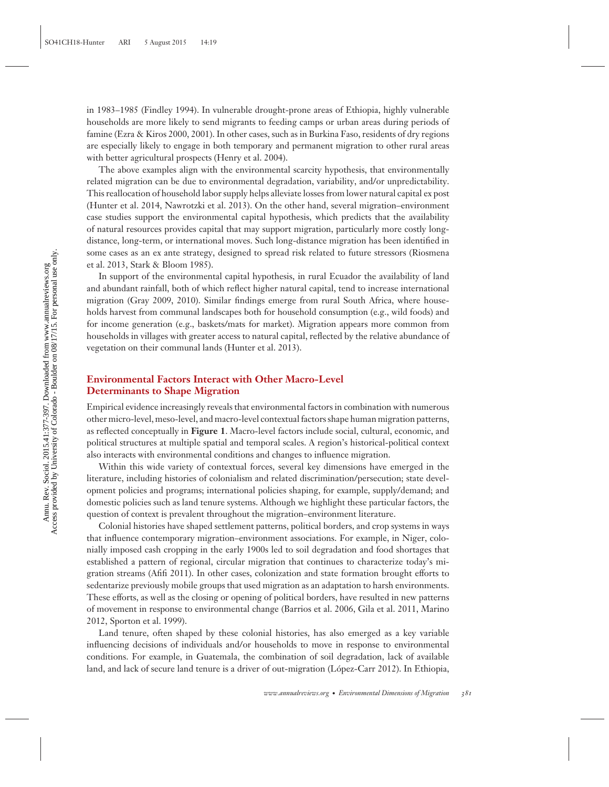in 1983–1985 (Findley 1994). In vulnerable drought-prone areas of Ethiopia, highly vulnerable households are more likely to send migrants to feeding camps or urban areas during periods of famine (Ezra & Kiros 2000, 2001). In other cases, such as in Burkina Faso, residents of dry regions are especially likely to engage in both temporary and permanent migration to other rural areas with better agricultural prospects (Henry et al. 2004).

The above examples align with the environmental scarcity hypothesis, that environmentally related migration can be due to environmental degradation, variability, and/or unpredictability. This reallocation of household labor supply helps alleviate losses from lower natural capital ex post (Hunter et al. 2014, Nawrotzki et al. 2013). On the other hand, several migration–environment case studies support the environmental capital hypothesis, which predicts that the availability of natural resources provides capital that may support migration, particularly more costly longdistance, long-term, or international moves. Such long-distance migration has been identified in some cases as an ex ante strategy, designed to spread risk related to future stressors (Riosmena et al. 2013, Stark & Bloom 1985).

In support of the environmental capital hypothesis, in rural Ecuador the availability of land and abundant rainfall, both of which reflect higher natural capital, tend to increase international migration (Gray 2009, 2010). Similar findings emerge from rural South Africa, where households harvest from communal landscapes both for household consumption (e.g., wild foods) and for income generation (e.g., baskets/mats for market). Migration appears more common from households in villages with greater access to natural capital, reflected by the relative abundance of vegetation on their communal lands (Hunter et al. 2013).

#### **Environmental Factors Interact with Other Macro-Level Determinants to Shape Migration**

Empirical evidence increasingly reveals that environmental factors in combination with numerous other micro-level, meso-level, and macro-level contextual factors shape human migration patterns, as reflected conceptually in **Figure 1**. Macro-level factors include social, cultural, economic, and political structures at multiple spatial and temporal scales. A region's historical-political context also interacts with environmental conditions and changes to influence migration.

Within this wide variety of contextual forces, several key dimensions have emerged in the literature, including histories of colonialism and related discrimination/persecution; state development policies and programs; international policies shaping, for example, supply/demand; and domestic policies such as land tenure systems. Although we highlight these particular factors, the question of context is prevalent throughout the migration–environment literature.

Colonial histories have shaped settlement patterns, political borders, and crop systems in ways that influence contemporary migration–environment associations. For example, in Niger, colonially imposed cash cropping in the early 1900s led to soil degradation and food shortages that established a pattern of regional, circular migration that continues to characterize today's migration streams (Afifi 2011). In other cases, colonization and state formation brought efforts to sedentarize previously mobile groups that used migration as an adaptation to harsh environments. These efforts, as well as the closing or opening of political borders, have resulted in new patterns of movement in response to environmental change (Barrios et al. 2006, Gila et al. 2011, Marino 2012, Sporton et al. 1999).

Land tenure, often shaped by these colonial histories, has also emerged as a key variable influencing decisions of individuals and/or households to move in response to environmental conditions. For example, in Guatemala, the combination of soil degradation, lack of available land, and lack of secure land tenure is a driver of out-migration (López-Carr 2012). In Ethiopia,

Annu. Rev. Sociol. 2015.41:377-397. Downloaded from www.annualreviews.org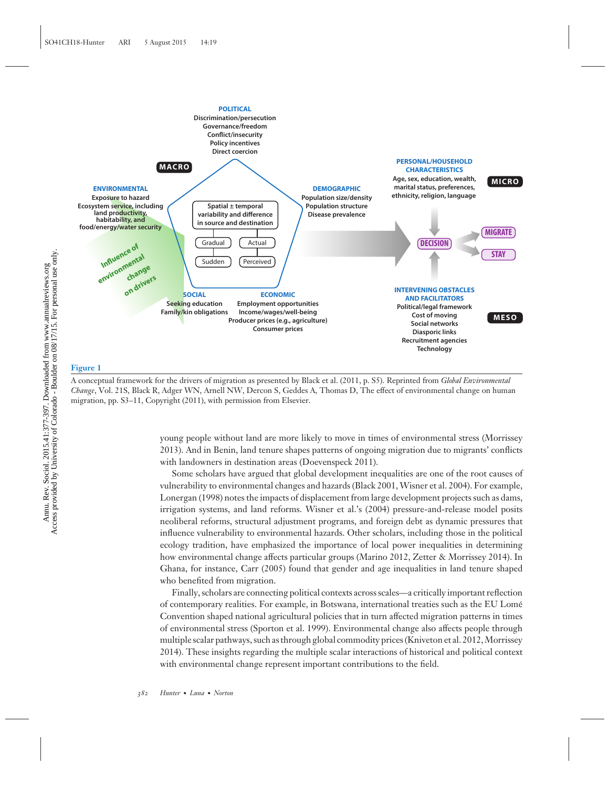

#### **Figure 1**

A conceptual framework for the drivers of migration as presented by Black et al. (2011, p. S5). Reprinted from *Global Environmental Change*, Vol. 21S, Black R, Adger WN, Arnell NW, Dercon S, Geddes A, Thomas D, The effect of environmental change on human migration, pp. S3–11, Copyright (2011), with permission from Elsevier.

young people without land are more likely to move in times of environmental stress (Morrissey 2013). And in Benin, land tenure shapes patterns of ongoing migration due to migrants' conflicts with landowners in destination areas (Doevenspeck 2011).

Some scholars have argued that global development inequalities are one of the root causes of vulnerability to environmental changes and hazards (Black 2001, Wisner et al. 2004). For example, Lonergan (1998) notes the impacts of displacement from large development projects such as dams, irrigation systems, and land reforms. Wisner et al.'s (2004) pressure-and-release model posits neoliberal reforms, structural adjustment programs, and foreign debt as dynamic pressures that influence vulnerability to environmental hazards. Other scholars, including those in the political ecology tradition, have emphasized the importance of local power inequalities in determining how environmental change affects particular groups (Marino 2012, Zetter & Morrissey 2014). In Ghana, for instance, Carr (2005) found that gender and age inequalities in land tenure shaped who benefited from migration.

Finally, scholars are connecting political contexts across scales—a critically important reflection of contemporary realities. For example, in Botswana, international treaties such as the EU Lome´ Convention shaped national agricultural policies that in turn affected migration patterns in times of environmental stress (Sporton et al. 1999). Environmental change also affects people through multiple scalar pathways, such as through global commodity prices (Kniveton et al. 2012, Morrissey 2014). These insights regarding the multiple scalar interactions of historical and political context with environmental change represent important contributions to the field.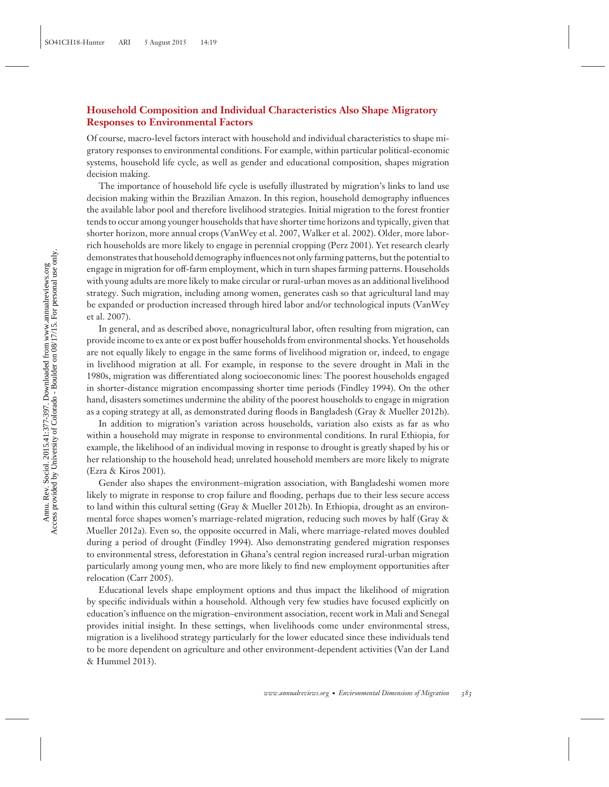#### **Household Composition and Individual Characteristics Also Shape Migratory Responses to Environmental Factors**

Of course, macro-level factors interact with household and individual characteristics to shape migratory responses to environmental conditions. For example, within particular political-economic systems, household life cycle, as well as gender and educational composition, shapes migration decision making.

The importance of household life cycle is usefully illustrated by migration's links to land use decision making within the Brazilian Amazon. In this region, household demography influences the available labor pool and therefore livelihood strategies. Initial migration to the forest frontier tends to occur among younger households that have shorter time horizons and typically, given that shorter horizon, more annual crops (VanWey et al. 2007, Walker et al. 2002). Older, more laborrich households are more likely to engage in perennial cropping (Perz 2001). Yet research clearly demonstrates that household demography influences not only farming patterns, but the potential to engage in migration for off-farm employment, which in turn shapes farming patterns. Households with young adults are more likely to make circular or rural-urban moves as an additional livelihood strategy. Such migration, including among women, generates cash so that agricultural land may be expanded or production increased through hired labor and/or technological inputs (VanWey et al. 2007).

In general, and as described above, nonagricultural labor, often resulting from migration, can provide income to ex ante or ex post buffer households from environmental shocks. Yet households are not equally likely to engage in the same forms of livelihood migration or, indeed, to engage in livelihood migration at all. For example, in response to the severe drought in Mali in the 1980s, migration was differentiated along socioeconomic lines: The poorest households engaged in shorter-distance migration encompassing shorter time periods (Findley 1994). On the other hand, disasters sometimes undermine the ability of the poorest households to engage in migration as a coping strategy at all, as demonstrated during floods in Bangladesh (Gray & Mueller 2012b).

In addition to migration's variation across households, variation also exists as far as who within a household may migrate in response to environmental conditions. In rural Ethiopia, for example, the likelihood of an individual moving in response to drought is greatly shaped by his or her relationship to the household head; unrelated household members are more likely to migrate (Ezra & Kiros 2001).

Gender also shapes the environment–migration association, with Bangladeshi women more likely to migrate in response to crop failure and flooding, perhaps due to their less secure access to land within this cultural setting (Gray & Mueller 2012b). In Ethiopia, drought as an environmental force shapes women's marriage-related migration, reducing such moves by half (Gray & Mueller 2012a). Even so, the opposite occurred in Mali, where marriage-related moves doubled during a period of drought (Findley 1994). Also demonstrating gendered migration responses to environmental stress, deforestation in Ghana's central region increased rural-urban migration particularly among young men, who are more likely to find new employment opportunities after relocation (Carr 2005).

Educational levels shape employment options and thus impact the likelihood of migration by specific individuals within a household. Although very few studies have focused explicitly on education's influence on the migration–environment association, recent work in Mali and Senegal provides initial insight. In these settings, when livelihoods come under environmental stress, migration is a livelihood strategy particularly for the lower educated since these individuals tend to be more dependent on agriculture and other environment-dependent activities (Van der Land & Hummel 2013).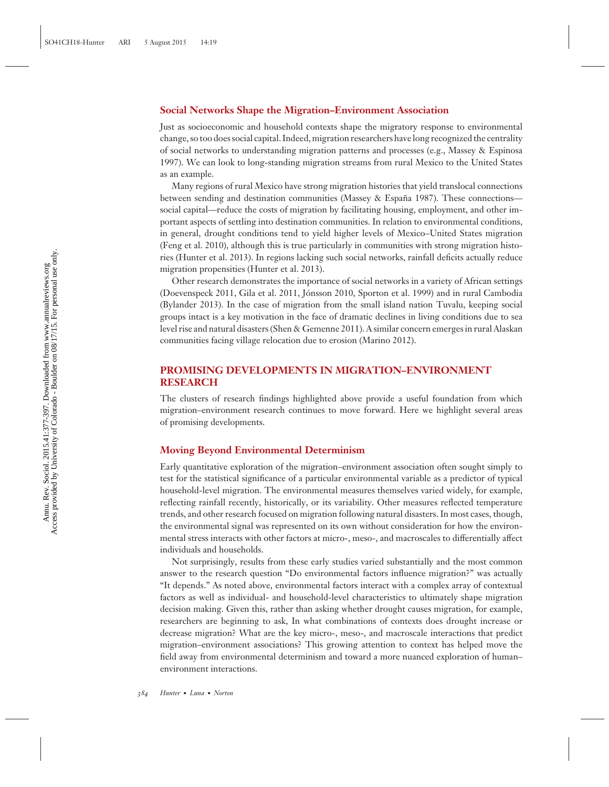#### **Social Networks Shape the Migration–Environment Association**

Just as socioeconomic and household contexts shape the migratory response to environmental change, so too does social capital. Indeed, migration researchers have long recognized the centrality of social networks to understanding migration patterns and processes (e.g., Massey & Espinosa 1997). We can look to long-standing migration streams from rural Mexico to the United States as an example.

Many regions of rural Mexico have strong migration histories that yield translocal connections between sending and destination communities (Massey & España 1987). These connections social capital—reduce the costs of migration by facilitating housing, employment, and other important aspects of settling into destination communities. In relation to environmental conditions, in general, drought conditions tend to yield higher levels of Mexico–United States migration (Feng et al. 2010), although this is true particularly in communities with strong migration histories (Hunter et al. 2013). In regions lacking such social networks, rainfall deficits actually reduce migration propensities (Hunter et al. 2013).

Other research demonstrates the importance of social networks in a variety of African settings (Doevenspeck 2011, Gila et al. 2011, Jonsson 2010, Sporton et al. 1999) and in rural Cambodia ´ (Bylander 2013). In the case of migration from the small island nation Tuvalu, keeping social groups intact is a key motivation in the face of dramatic declines in living conditions due to sea level rise and natural disasters (Shen & Gemenne 2011). A similar concern emerges in rural Alaskan communities facing village relocation due to erosion (Marino 2012).

#### **PROMISING DEVELOPMENTS IN MIGRATION–ENVIRONMENT RESEARCH**

The clusters of research findings highlighted above provide a useful foundation from which migration–environment research continues to move forward. Here we highlight several areas of promising developments.

#### **Moving Beyond Environmental Determinism**

Early quantitative exploration of the migration–environment association often sought simply to test for the statistical significance of a particular environmental variable as a predictor of typical household-level migration. The environmental measures themselves varied widely, for example, reflecting rainfall recently, historically, or its variability. Other measures reflected temperature trends, and other research focused on migration following natural disasters. In most cases, though, the environmental signal was represented on its own without consideration for how the environmental stress interacts with other factors at micro-, meso-, and macroscales to differentially affect individuals and households.

Not surprisingly, results from these early studies varied substantially and the most common answer to the research question "Do environmental factors influence migration?" was actually "It depends." As noted above, environmental factors interact with a complex array of contextual factors as well as individual- and household-level characteristics to ultimately shape migration decision making. Given this, rather than asking whether drought causes migration, for example, researchers are beginning to ask, In what combinations of contexts does drought increase or decrease migration? What are the key micro-, meso-, and macroscale interactions that predict migration–environment associations? This growing attention to context has helped move the field away from environmental determinism and toward a more nuanced exploration of human– environment interactions.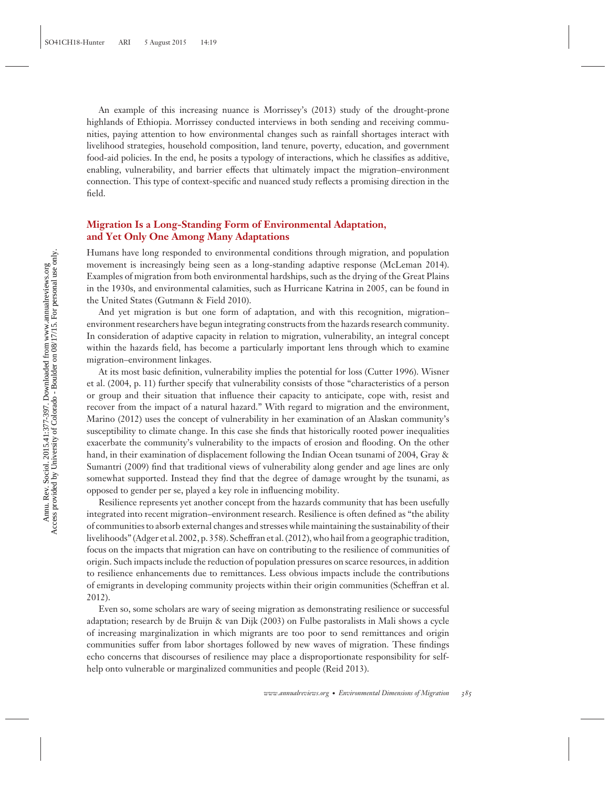An example of this increasing nuance is Morrissey's (2013) study of the drought-prone highlands of Ethiopia. Morrissey conducted interviews in both sending and receiving communities, paying attention to how environmental changes such as rainfall shortages interact with livelihood strategies, household composition, land tenure, poverty, education, and government food-aid policies. In the end, he posits a typology of interactions, which he classifies as additive, enabling, vulnerability, and barrier effects that ultimately impact the migration–environment connection. This type of context-specific and nuanced study reflects a promising direction in the field.

#### **Migration Is a Long-Standing Form of Environmental Adaptation, and Yet Only One Among Many Adaptations**

Humans have long responded to environmental conditions through migration, and population movement is increasingly being seen as a long-standing adaptive response (McLeman 2014). Examples of migration from both environmental hardships, such as the drying of the Great Plains in the 1930s, and environmental calamities, such as Hurricane Katrina in 2005, can be found in the United States (Gutmann & Field 2010).

And yet migration is but one form of adaptation, and with this recognition, migration– environment researchers have begun integrating constructs from the hazards research community. In consideration of adaptive capacity in relation to migration, vulnerability, an integral concept within the hazards field, has become a particularly important lens through which to examine migration–environment linkages.

At its most basic definition, vulnerability implies the potential for loss (Cutter 1996). Wisner et al. (2004, p. 11) further specify that vulnerability consists of those "characteristics of a person or group and their situation that influence their capacity to anticipate, cope with, resist and recover from the impact of a natural hazard." With regard to migration and the environment, Marino (2012) uses the concept of vulnerability in her examination of an Alaskan community's susceptibility to climate change. In this case she finds that historically rooted power inequalities exacerbate the community's vulnerability to the impacts of erosion and flooding. On the other hand, in their examination of displacement following the Indian Ocean tsunami of 2004, Gray & Sumantri (2009) find that traditional views of vulnerability along gender and age lines are only somewhat supported. Instead they find that the degree of damage wrought by the tsunami, as opposed to gender per se, played a key role in influencing mobility.

Resilience represents yet another concept from the hazards community that has been usefully integrated into recent migration–environment research. Resilience is often defined as "the ability of communities to absorb external changes and stresses while maintaining the sustainability of their livelihoods" (Adger et al. 2002, p. 358). Scheffran et al. (2012), who hail from a geographic tradition, focus on the impacts that migration can have on contributing to the resilience of communities of origin. Such impacts include the reduction of population pressures on scarce resources, in addition to resilience enhancements due to remittances. Less obvious impacts include the contributions of emigrants in developing community projects within their origin communities (Scheffran et al. 2012).

Even so, some scholars are wary of seeing migration as demonstrating resilience or successful adaptation; research by de Bruijn & van Dijk (2003) on Fulbe pastoralists in Mali shows a cycle of increasing marginalization in which migrants are too poor to send remittances and origin communities suffer from labor shortages followed by new waves of migration. These findings echo concerns that discourses of resilience may place a disproportionate responsibility for selfhelp onto vulnerable or marginalized communities and people (Reid 2013).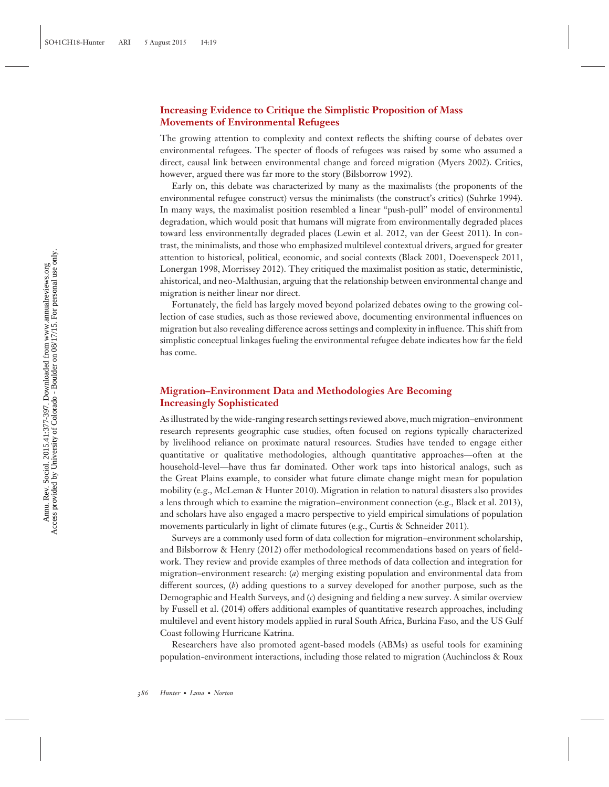#### **Increasing Evidence to Critique the Simplistic Proposition of Mass Movements of Environmental Refugees**

The growing attention to complexity and context reflects the shifting course of debates over environmental refugees. The specter of floods of refugees was raised by some who assumed a direct, causal link between environmental change and forced migration (Myers 2002). Critics, however, argued there was far more to the story (Bilsborrow 1992).

Early on, this debate was characterized by many as the maximalists (the proponents of the environmental refugee construct) versus the minimalists (the construct's critics) (Suhrke 1994). In many ways, the maximalist position resembled a linear "push-pull" model of environmental degradation, which would posit that humans will migrate from environmentally degraded places toward less environmentally degraded places (Lewin et al. 2012, van der Geest 2011). In contrast, the minimalists, and those who emphasized multilevel contextual drivers, argued for greater attention to historical, political, economic, and social contexts (Black 2001, Doevenspeck 2011, Lonergan 1998, Morrissey 2012). They critiqued the maximalist position as static, deterministic, ahistorical, and neo-Malthusian, arguing that the relationship between environmental change and migration is neither linear nor direct.

Fortunately, the field has largely moved beyond polarized debates owing to the growing collection of case studies, such as those reviewed above, documenting environmental influences on migration but also revealing difference across settings and complexity in influence. This shift from simplistic conceptual linkages fueling the environmental refugee debate indicates how far the field has come.

#### **Migration–Environment Data and Methodologies Are Becoming Increasingly Sophisticated**

As illustrated by the wide-ranging research settings reviewed above, much migration–environment research represents geographic case studies, often focused on regions typically characterized by livelihood reliance on proximate natural resources. Studies have tended to engage either quantitative or qualitative methodologies, although quantitative approaches—often at the household-level—have thus far dominated. Other work taps into historical analogs, such as the Great Plains example, to consider what future climate change might mean for population mobility (e.g., McLeman & Hunter 2010). Migration in relation to natural disasters also provides a lens through which to examine the migration–environment connection (e.g., Black et al. 2013), and scholars have also engaged a macro perspective to yield empirical simulations of population movements particularly in light of climate futures (e.g., Curtis & Schneider 2011).

Surveys are a commonly used form of data collection for migration–environment scholarship, and Bilsborrow & Henry (2012) offer methodological recommendations based on years of fieldwork. They review and provide examples of three methods of data collection and integration for migration–environment research: (*a*) merging existing population and environmental data from different sources, (*b*) adding questions to a survey developed for another purpose, such as the Demographic and Health Surveys, and (*c*) designing and fielding a new survey. A similar overview by Fussell et al. (2014) offers additional examples of quantitative research approaches, including multilevel and event history models applied in rural South Africa, Burkina Faso, and the US Gulf Coast following Hurricane Katrina.

Researchers have also promoted agent-based models (ABMs) as useful tools for examining population-environment interactions, including those related to migration (Auchincloss & Roux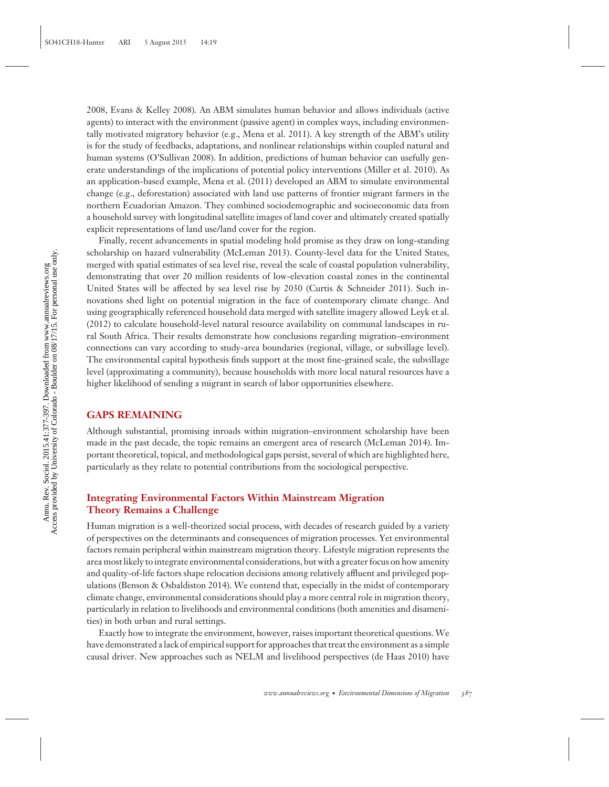2008, Evans & Kelley 2008). An ABM simulates human behavior and allows individuals (active agents) to interact with the environment (passive agent) in complex ways, including environmentally motivated migratory behavior (e.g., Mena et al. 2011). A key strength of the ABM's utility is for the study of feedbacks, adaptations, and nonlinear relationships within coupled natural and human systems (O'Sullivan 2008). In addition, predictions of human behavior can usefully generate understandings of the implications of potential policy interventions (Miller et al. 2010). As an application-based example, Mena et al. (2011) developed an ABM to simulate environmental change (e.g., deforestation) associated with land use patterns of frontier migrant farmers in the northern Ecuadorian Amazon. They combined sociodemographic and socioeconomic data from a household survey with longitudinal satellite images of land cover and ultimately created spatially explicit representations of land use/land cover for the region.

Finally, recent advancements in spatial modeling hold promise as they draw on long-standing scholarship on hazard vulnerability (McLeman 2013). County-level data for the United States, merged with spatial estimates of sea level rise, reveal the scale of coastal population vulnerability, demonstrating that over 20 million residents of low-elevation coastal zones in the continental United States will be affected by sea level rise by 2030 (Curtis & Schneider 2011). Such innovations shed light on potential migration in the face of contemporary climate change. And using geographically referenced household data merged with satellite imagery allowed Leyk et al. (2012) to calculate household-level natural resource availability on communal landscapes in rural South Africa. Their results demonstrate how conclusions regarding migration–environment connections can vary according to study-area boundaries (regional, village, or subvillage level). The environmental capital hypothesis finds support at the most fine-grained scale, the subvillage level (approximating a community), because households with more local natural resources have a higher likelihood of sending a migrant in search of labor opportunities elsewhere.

#### **GAPS REMAINING**

Although substantial, promising inroads within migration–environment scholarship have been made in the past decade, the topic remains an emergent area of research (McLeman 2014). Important theoretical, topical, and methodological gaps persist, several of which are highlighted here, particularly as they relate to potential contributions from the sociological perspective.

#### **Integrating Environmental Factors Within Mainstream Migration Theory Remains a Challenge**

Human migration is a well-theorized social process, with decades of research guided by a variety of perspectives on the determinants and consequences of migration processes. Yet environmental factors remain peripheral within mainstream migration theory. Lifestyle migration represents the area most likely to integrate environmental considerations, but with a greater focus on how amenity and quality-of-life factors shape relocation decisions among relatively affluent and privileged populations (Benson & Osbaldiston 2014). We contend that, especially in the midst of contemporary climate change, environmental considerations should play a more central role in migration theory, particularly in relation to livelihoods and environmental conditions (both amenities and disamenities) in both urban and rural settings.

Exactly how to integrate the environment, however, raises important theoretical questions. We have demonstrated a lack of empirical support for approaches that treat the environment as a simple causal driver. New approaches such as NELM and livelihood perspectives (de Haas 2010) have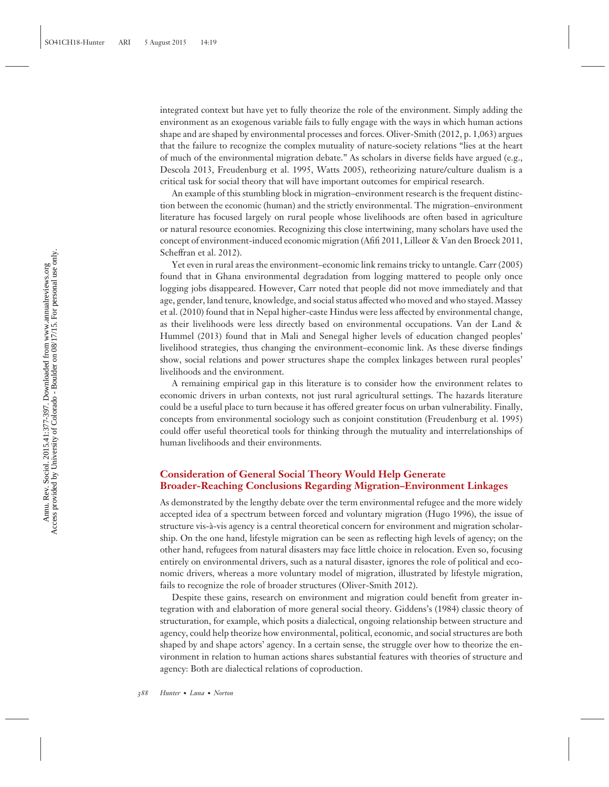integrated context but have yet to fully theorize the role of the environment. Simply adding the environment as an exogenous variable fails to fully engage with the ways in which human actions shape and are shaped by environmental processes and forces. Oliver-Smith (2012, p. 1,063) argues that the failure to recognize the complex mutuality of nature-society relations "lies at the heart of much of the environmental migration debate." As scholars in diverse fields have argued (e.g., Descola 2013, Freudenburg et al. 1995, Watts 2005), retheorizing nature/culture dualism is a critical task for social theory that will have important outcomes for empirical research.

An example of this stumbling block in migration–environment research is the frequent distinction between the economic (human) and the strictly environmental. The migration–environment literature has focused largely on rural people whose livelihoods are often based in agriculture or natural resource economies. Recognizing this close intertwining, many scholars have used the concept of environment-induced economic migration (Afifi 2011, Lilleør & Van den Broeck 2011, Scheffran et al. 2012).

Yet even in rural areas the environment–economic link remains tricky to untangle. Carr (2005) found that in Ghana environmental degradation from logging mattered to people only once logging jobs disappeared. However, Carr noted that people did not move immediately and that age, gender, land tenure, knowledge, and social status affected who moved and who stayed. Massey et al. (2010) found that in Nepal higher-caste Hindus were less affected by environmental change, as their livelihoods were less directly based on environmental occupations. Van der Land & Hummel (2013) found that in Mali and Senegal higher levels of education changed peoples' livelihood strategies, thus changing the environment–economic link. As these diverse findings show, social relations and power structures shape the complex linkages between rural peoples' livelihoods and the environment.

A remaining empirical gap in this literature is to consider how the environment relates to economic drivers in urban contexts, not just rural agricultural settings. The hazards literature could be a useful place to turn because it has offered greater focus on urban vulnerability. Finally, concepts from environmental sociology such as conjoint constitution (Freudenburg et al. 1995) could offer useful theoretical tools for thinking through the mutuality and interrelationships of human livelihoods and their environments.

#### **Consideration of General Social Theory Would Help Generate Broader-Reaching Conclusions Regarding Migration–Environment Linkages**

As demonstrated by the lengthy debate over the term environmental refugee and the more widely accepted idea of a spectrum between forced and voluntary migration (Hugo 1996), the issue of structure vis-à-vis agency is a central theoretical concern for environment and migration scholarship. On the one hand, lifestyle migration can be seen as reflecting high levels of agency; on the other hand, refugees from natural disasters may face little choice in relocation. Even so, focusing entirely on environmental drivers, such as a natural disaster, ignores the role of political and economic drivers, whereas a more voluntary model of migration, illustrated by lifestyle migration, fails to recognize the role of broader structures (Oliver-Smith 2012).

Despite these gains, research on environment and migration could benefit from greater integration with and elaboration of more general social theory. Giddens's (1984) classic theory of structuration, for example, which posits a dialectical, ongoing relationship between structure and agency, could help theorize how environmental, political, economic, and social structures are both shaped by and shape actors' agency. In a certain sense, the struggle over how to theorize the environment in relation to human actions shares substantial features with theories of structure and agency: Both are dialectical relations of coproduction.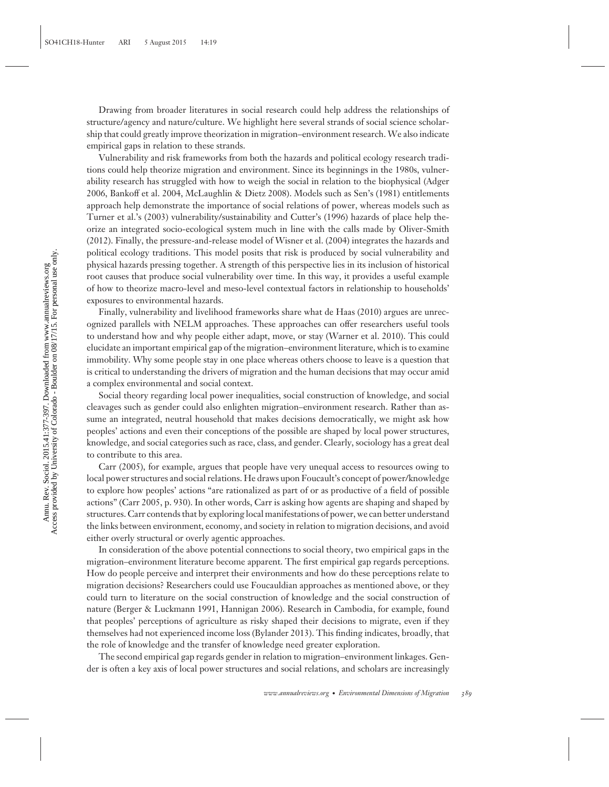Drawing from broader literatures in social research could help address the relationships of structure/agency and nature/culture. We highlight here several strands of social science scholarship that could greatly improve theorization in migration–environment research. We also indicate empirical gaps in relation to these strands.

Vulnerability and risk frameworks from both the hazards and political ecology research traditions could help theorize migration and environment. Since its beginnings in the 1980s, vulnerability research has struggled with how to weigh the social in relation to the biophysical (Adger 2006, Bankoff et al. 2004, McLaughlin & Dietz 2008). Models such as Sen's (1981) entitlements approach help demonstrate the importance of social relations of power, whereas models such as Turner et al.'s (2003) vulnerability/sustainability and Cutter's (1996) hazards of place help theorize an integrated socio-ecological system much in line with the calls made by Oliver-Smith (2012). Finally, the pressure-and-release model of Wisner et al. (2004) integrates the hazards and political ecology traditions. This model posits that risk is produced by social vulnerability and physical hazards pressing together. A strength of this perspective lies in its inclusion of historical root causes that produce social vulnerability over time. In this way, it provides a useful example of how to theorize macro-level and meso-level contextual factors in relationship to households'

Finally, vulnerability and livelihood frameworks share what de Haas (2010) argues are unrecognized parallels with NELM approaches. These approaches can offer researchers useful tools to understand how and why people either adapt, move, or stay (Warner et al. 2010). This could elucidate an important empirical gap of the migration–environment literature, which is to examine immobility. Why some people stay in one place whereas others choose to leave is a question that is critical to understanding the drivers of migration and the human decisions that may occur amid a complex environmental and social context.

Social theory regarding local power inequalities, social construction of knowledge, and social cleavages such as gender could also enlighten migration–environment research. Rather than assume an integrated, neutral household that makes decisions democratically, we might ask how peoples' actions and even their conceptions of the possible are shaped by local power structures, knowledge, and social categories such as race, class, and gender. Clearly, sociology has a great deal to contribute to this area.

Carr (2005), for example, argues that people have very unequal access to resources owing to local power structures and social relations. He draws upon Foucault's concept of power/knowledge to explore how peoples' actions "are rationalized as part of or as productive of a field of possible actions" (Carr 2005, p. 930). In other words, Carr is asking how agents are shaping and shaped by structures. Carr contends that by exploring local manifestations of power, we can better understand the links between environment, economy, and society in relation to migration decisions, and avoid either overly structural or overly agentic approaches.

In consideration of the above potential connections to social theory, two empirical gaps in the migration–environment literature become apparent. The first empirical gap regards perceptions. How do people perceive and interpret their environments and how do these perceptions relate to migration decisions? Researchers could use Foucauldian approaches as mentioned above, or they could turn to literature on the social construction of knowledge and the social construction of nature (Berger & Luckmann 1991, Hannigan 2006). Research in Cambodia, for example, found that peoples' perceptions of agriculture as risky shaped their decisions to migrate, even if they themselves had not experienced income loss (Bylander 2013). This finding indicates, broadly, that the role of knowledge and the transfer of knowledge need greater exploration.

The second empirical gap regards gender in relation to migration–environment linkages. Gender is often a key axis of local power structures and social relations, and scholars are increasingly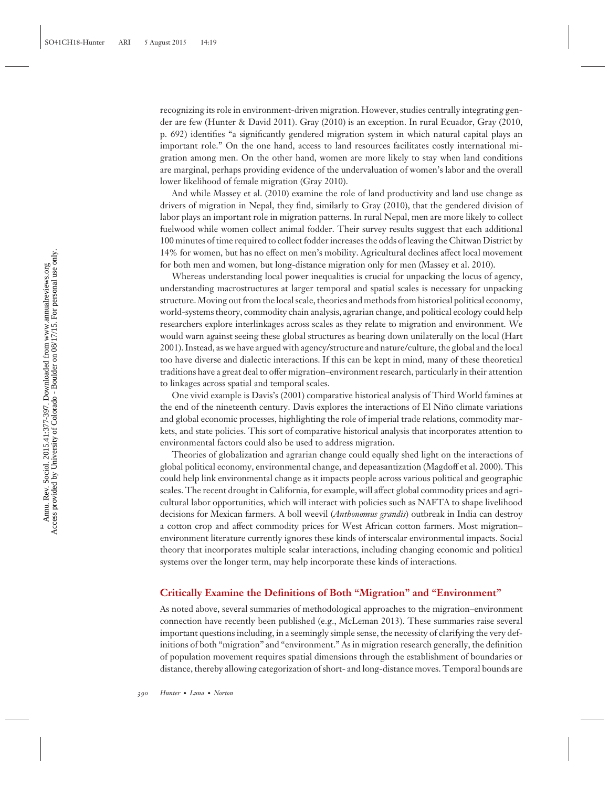recognizing its role in environment-driven migration. However, studies centrally integrating gender are few (Hunter & David 2011). Gray (2010) is an exception. In rural Ecuador, Gray (2010, p. 692) identifies "a significantly gendered migration system in which natural capital plays an important role." On the one hand, access to land resources facilitates costly international migration among men. On the other hand, women are more likely to stay when land conditions are marginal, perhaps providing evidence of the undervaluation of women's labor and the overall lower likelihood of female migration (Gray 2010).

And while Massey et al. (2010) examine the role of land productivity and land use change as drivers of migration in Nepal, they find, similarly to Gray (2010), that the gendered division of labor plays an important role in migration patterns. In rural Nepal, men are more likely to collect fuelwood while women collect animal fodder. Their survey results suggest that each additional 100 minutes of time required to collect fodder increases the odds of leaving the Chitwan District by 14% for women, but has no effect on men's mobility. Agricultural declines affect local movement for both men and women, but long-distance migration only for men (Massey et al. 2010).

Whereas understanding local power inequalities is crucial for unpacking the locus of agency, understanding macrostructures at larger temporal and spatial scales is necessary for unpacking structure. Moving out from the local scale, theories and methods from historical political economy, world-systems theory, commodity chain analysis, agrarian change, and political ecology could help researchers explore interlinkages across scales as they relate to migration and environment. We would warn against seeing these global structures as bearing down unilaterally on the local (Hart 2001). Instead, as we have argued with agency/structure and nature/culture, the global and the local too have diverse and dialectic interactions. If this can be kept in mind, many of these theoretical traditions have a great deal to offer migration–environment research, particularly in their attention to linkages across spatial and temporal scales.

One vivid example is Davis's (2001) comparative historical analysis of Third World famines at the end of the nineteenth century. Davis explores the interactions of El Niño climate variations and global economic processes, highlighting the role of imperial trade relations, commodity markets, and state policies. This sort of comparative historical analysis that incorporates attention to environmental factors could also be used to address migration.

Theories of globalization and agrarian change could equally shed light on the interactions of global political economy, environmental change, and depeasantization (Magdoff et al. 2000). This could help link environmental change as it impacts people across various political and geographic scales. The recent drought in California, for example, will affect global commodity prices and agricultural labor opportunities, which will interact with policies such as NAFTA to shape livelihood decisions for Mexican farmers. A boll weevil (*Anthonomus grandis*) outbreak in India can destroy a cotton crop and affect commodity prices for West African cotton farmers. Most migration– environment literature currently ignores these kinds of interscalar environmental impacts. Social theory that incorporates multiple scalar interactions, including changing economic and political systems over the longer term, may help incorporate these kinds of interactions.

#### **Critically Examine the Definitions of Both "Migration" and "Environment"**

As noted above, several summaries of methodological approaches to the migration–environment connection have recently been published (e.g., McLeman 2013). These summaries raise several important questions including, in a seemingly simple sense, the necessity of clarifying the very definitions of both "migration" and "environment." As in migration research generally, the definition of population movement requires spatial dimensions through the establishment of boundaries or distance, thereby allowing categorization of short- and long-distance moves. Temporal bounds are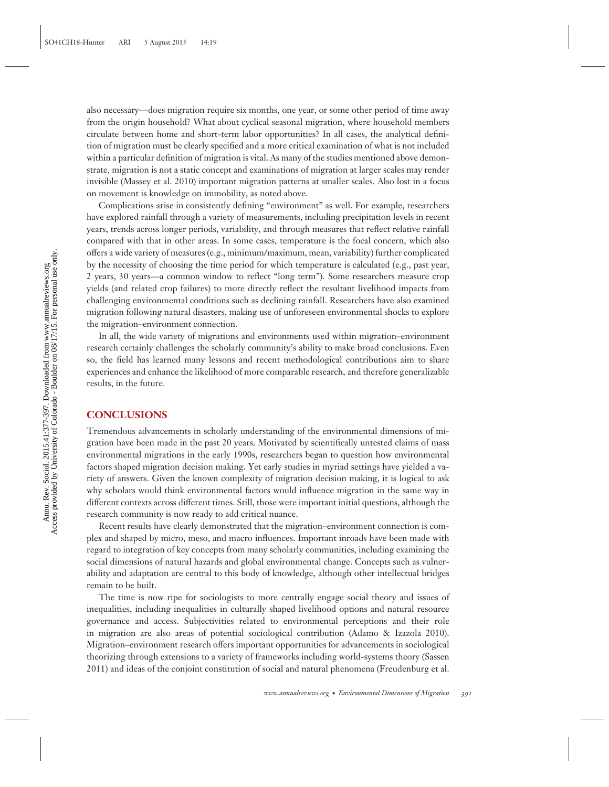also necessary—does migration require six months, one year, or some other period of time away from the origin household? What about cyclical seasonal migration, where household members circulate between home and short-term labor opportunities? In all cases, the analytical definition of migration must be clearly specified and a more critical examination of what is not included within a particular definition of migration is vital. As many of the studies mentioned above demonstrate, migration is not a static concept and examinations of migration at larger scales may render invisible (Massey et al. 2010) important migration patterns at smaller scales. Also lost in a focus on movement is knowledge on immobility, as noted above.

Complications arise in consistently defining "environment" as well. For example, researchers have explored rainfall through a variety of measurements, including precipitation levels in recent years, trends across longer periods, variability, and through measures that reflect relative rainfall compared with that in other areas. In some cases, temperature is the focal concern, which also offers a wide variety of measures (e.g., minimum/maximum, mean, variability) further complicated by the necessity of choosing the time period for which temperature is calculated (e.g., past year, 2 years, 30 years—a common window to reflect "long term"). Some researchers measure crop yields (and related crop failures) to more directly reflect the resultant livelihood impacts from challenging environmental conditions such as declining rainfall. Researchers have also examined migration following natural disasters, making use of unforeseen environmental shocks to explore the migration–environment connection.

In all, the wide variety of migrations and environments used within migration–environment research certainly challenges the scholarly community's ability to make broad conclusions. Even so, the field has learned many lessons and recent methodological contributions aim to share experiences and enhance the likelihood of more comparable research, and therefore generalizable results, in the future.

#### **CONCLUSIONS**

Tremendous advancements in scholarly understanding of the environmental dimensions of migration have been made in the past 20 years. Motivated by scientifically untested claims of mass environmental migrations in the early 1990s, researchers began to question how environmental factors shaped migration decision making. Yet early studies in myriad settings have yielded a variety of answers. Given the known complexity of migration decision making, it is logical to ask why scholars would think environmental factors would influence migration in the same way in different contexts across different times. Still, those were important initial questions, although the research community is now ready to add critical nuance.

Recent results have clearly demonstrated that the migration–environment connection is complex and shaped by micro, meso, and macro influences. Important inroads have been made with regard to integration of key concepts from many scholarly communities, including examining the social dimensions of natural hazards and global environmental change. Concepts such as vulnerability and adaptation are central to this body of knowledge, although other intellectual bridges remain to be built.

The time is now ripe for sociologists to more centrally engage social theory and issues of inequalities, including inequalities in culturally shaped livelihood options and natural resource governance and access. Subjectivities related to environmental perceptions and their role in migration are also areas of potential sociological contribution (Adamo & Izazola 2010). Migration–environment research offers important opportunities for advancements in sociological theorizing through extensions to a variety of frameworks including world-systems theory (Sassen 2011) and ideas of the conjoint constitution of social and natural phenomena (Freudenburg et al.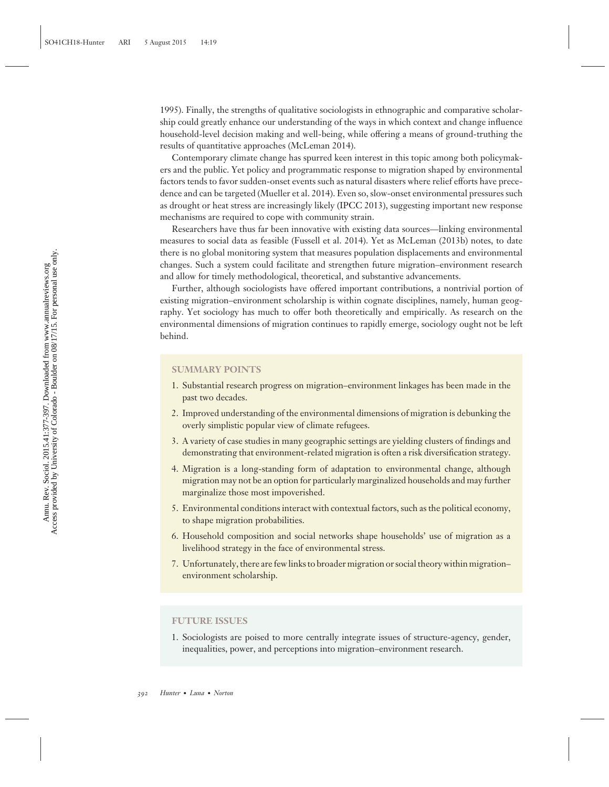1995). Finally, the strengths of qualitative sociologists in ethnographic and comparative scholarship could greatly enhance our understanding of the ways in which context and change influence household-level decision making and well-being, while offering a means of ground-truthing the results of quantitative approaches (McLeman 2014).

Contemporary climate change has spurred keen interest in this topic among both policymakers and the public. Yet policy and programmatic response to migration shaped by environmental factors tends to favor sudden-onset events such as natural disasters where relief efforts have precedence and can be targeted (Mueller et al. 2014). Even so, slow-onset environmental pressures such as drought or heat stress are increasingly likely (IPCC 2013), suggesting important new response mechanisms are required to cope with community strain.

Researchers have thus far been innovative with existing data sources—linking environmental measures to social data as feasible (Fussell et al. 2014). Yet as McLeman (2013b) notes, to date there is no global monitoring system that measures population displacements and environmental changes. Such a system could facilitate and strengthen future migration–environment research and allow for timely methodological, theoretical, and substantive advancements.

Further, although sociologists have offered important contributions, a nontrivial portion of existing migration–environment scholarship is within cognate disciplines, namely, human geography. Yet sociology has much to offer both theoretically and empirically. As research on the environmental dimensions of migration continues to rapidly emerge, sociology ought not be left behind.

#### **SUMMARY POINTS**

- 1. Substantial research progress on migration–environment linkages has been made in the past two decades.
- 2. Improved understanding of the environmental dimensions of migration is debunking the overly simplistic popular view of climate refugees.
- 3. A variety of case studies in many geographic settings are yielding clusters of findings and demonstrating that environment-related migration is often a risk diversification strategy.
- 4. Migration is a long-standing form of adaptation to environmental change, although migration may not be an option for particularly marginalized households and may further marginalize those most impoverished.
- 5. Environmental conditions interact with contextual factors, such as the political economy, to shape migration probabilities.
- 6. Household composition and social networks shape households' use of migration as a livelihood strategy in the face of environmental stress.
- 7. Unfortunately, there are few links to broader migration or social theory within migration– environment scholarship.

#### **FUTURE ISSUES**

1. Sociologists are poised to more centrally integrate issues of structure-agency, gender, inequalities, power, and perceptions into migration–environment research.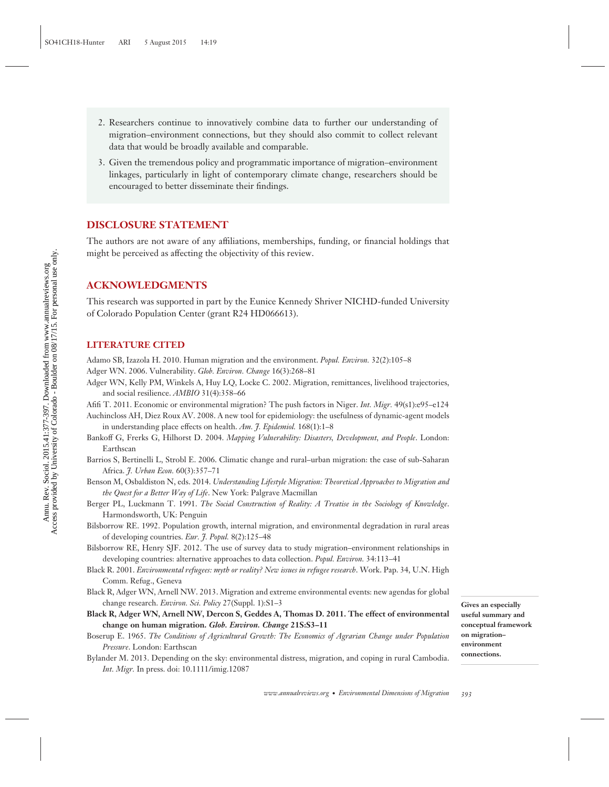- 2. Researchers continue to innovatively combine data to further our understanding of migration–environment connections, but they should also commit to collect relevant data that would be broadly available and comparable.
- 3. Given the tremendous policy and programmatic importance of migration–environment linkages, particularly in light of contemporary climate change, researchers should be encouraged to better disseminate their findings.

#### **DISCLOSURE STATEMENT**

The authors are not aware of any affiliations, memberships, funding, or financial holdings that might be perceived as affecting the objectivity of this review.

#### **ACKNOWLEDGMENTS**

This research was supported in part by the Eunice Kennedy Shriver NICHD-funded University of Colorado Population Center (grant R24 HD066613).

#### **LITERATURE CITED**

Adamo SB, Izazola H. 2010. Human migration and the environment. *Popul. Environ.* 32(2):105–8 Adger WN. 2006. Vulnerability. *Glob. Environ. Change* 16(3):268–81

Adger WN, Kelly PM, Winkels A, Huy LQ, Locke C. 2002. Migration, remittances, livelihood trajectories, and social resilience. *AMBIO* 31(4):358–66

Afifi T. 2011. Economic or environmental migration? The push factors in Niger. *Int. Migr.* 49(s1):e95–e124

- Auchincloss AH, Diez Roux AV. 2008. A new tool for epidemiology: the usefulness of dynamic-agent models in understanding place effects on health. *Am. J. Epidemiol.* 168(1):1–8
- Bankoff G, Frerks G, Hilhorst D. 2004. *Mapping Vulnerability: Disasters, Development, and People*. London: Earthscan
- Barrios S, Bertinelli L, Strobl E. 2006. Climatic change and rural–urban migration: the case of sub-Saharan Africa. *J. Urban Econ.* 60(3):357–71

Benson M, Osbaldiston N, eds. 2014. *Understanding Lifestyle Migration: Theoretical Approaches to Migration and the Quest for a Better Way of Life*. New York: Palgrave Macmillan

Berger PL, Luckmann T. 1991. *The Social Construction of Reality: A Treatise in the Sociology of Knowledge*. Harmondsworth, UK: Penguin

Bilsborrow RE. 1992. Population growth, internal migration, and environmental degradation in rural areas of developing countries. *Eur. J. Popul.* 8(2):125–48

Bilsborrow RE, Henry SJF. 2012. The use of survey data to study migration–environment relationships in developing countries: alternative approaches to data collection. *Popul. Environ.* 34:113–41

Black R. 2001. *Environmental refugees: myth or reality? New issues in refugee research*. Work. Pap. 34, U.N. High Comm. Refug., Geneva

Black R, Adger WN, Arnell NW. 2013. Migration and extreme environmental events: new agendas for global change research. *Environ. Sci. Policy* 27(Suppl. 1):S1–3 **Gives an especially**

**Black R, Adger WN, Arnell NW, Dercon S, Geddes A, Thomas D. 2011. The effect of environmental change on human migration.** *Glob. Environ. Change* **21S:S3–11**

- Boserup E. 1965. *The Conditions of Agricultural Growth: The Economics of Agrarian Change under Population Pressure*. London: Earthscan
- Bylander M. 2013. Depending on the sky: environmental distress, migration, and coping in rural Cambodia. *Int. Migr.* In press. doi: 10.1111/imig.12087

**useful summary and conceptual framework on migration– environment connections.**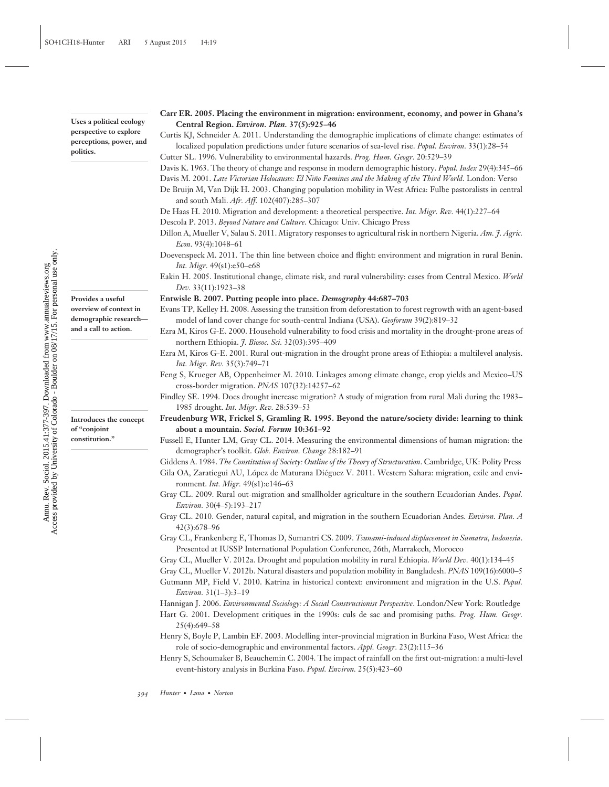**Uses a political ecology perspective to explore perceptions, power, and politics.**

**Provides a useful overview of context in demographic research and a call to action.**

**Introduces the concept**

**of "conjoint constitution."**

#### **Carr ER. 2005. Placing the environment in migration: environment, economy, and power in Ghana's Central Region.** *Environ. Plan.* **37(5):925–46**

| Curtis KJ, Schneider A. 2011. Understanding the demographic implications of climate change: estimates of<br>localized population predictions under future scenarios of sea-level rise. Popul. Environ. 33(1):28-54 |
|--------------------------------------------------------------------------------------------------------------------------------------------------------------------------------------------------------------------|
| Cutter SL. 1996. Vulnerability to environmental hazards. Prog. Hum. Geogr. 20:529-39                                                                                                                               |
| Davis K. 1963. The theory of change and response in modern demographic history. Popul. Index 29(4):345-66                                                                                                          |
| Davis M. 2001. Late Victorian Holocausts: El Niño Famines and the Making of the Third World. London: Verso                                                                                                         |
| De Bruijn M, Van Dijk H. 2003. Changing population mobility in West Africa: Fulbe pastoralists in central                                                                                                          |
| and south Mali. Afr. Aff. 102(407):285-307                                                                                                                                                                         |
| De Haas H. 2010. Migration and development: a theoretical perspective. Int. Migr. Rev. 44(1):227-64                                                                                                                |
| Descola P. 2013. Beyond Nature and Culture. Chicago: Univ. Chicago Press                                                                                                                                           |
| Dillon A, Mueller V, Salau S. 2011. Migratory responses to agricultural risk in northern Nigeria. Am. J. Agric.                                                                                                    |
| Econ. 93(4):1048-61                                                                                                                                                                                                |
| Doevenspeck M. 2011. The thin line between choice and flight: environment and migration in rural Benin.                                                                                                            |
| <i>Int. Migr.</i> $49(s1):e50-e68$                                                                                                                                                                                 |
| Eakin H. 2005. Institutional change, climate risk, and rural vulnerability: cases from Central Mexico. World                                                                                                       |
| Dev. 33(11):1923-38                                                                                                                                                                                                |
| Entwisle B. 2007. Putting people into place. Demography 44:687-703                                                                                                                                                 |
| Evans TP, Kelley H. 2008. Assessing the transition from deforestation to forest regrowth with an agent-based                                                                                                       |
| model of land cover change for south-central Indiana (USA). Geoforum 39(2):819-32                                                                                                                                  |
| Ezra M, Kiros G-E. 2000. Household vulnerability to food crisis and mortality in the drought-prone areas of                                                                                                        |
| northern Ethiopia. J. Biosoc. Sci. 32(03):395-409                                                                                                                                                                  |
| Ezra M, Kiros G-E. 2001. Rural out-migration in the drought prone areas of Ethiopia: a multilevel analysis.                                                                                                        |
| Int. Migr. Rev. 35(3):749-71                                                                                                                                                                                       |
| Feng S, Krueger AB, Oppenheimer M. 2010. Linkages among climate change, crop yields and Mexico-US<br>cross-border migration. PNAS 107(32):14257-62                                                                 |
| Findley SE. 1994. Does drought increase migration? A study of migration from rural Mali during the 1983-                                                                                                           |
| 1985 drought. Int. Migr. Rev. 28:539-53                                                                                                                                                                            |
| Freudenburg WR, Frickel S, Gramling R. 1995. Beyond the nature/society divide: learning to think                                                                                                                   |
| about a mountain. Sociol. Forum 10:361-92                                                                                                                                                                          |
| Fussell E, Hunter LM, Gray CL. 2014. Measuring the environmental dimensions of human migration: the                                                                                                                |
| demographer's toolkit. Glob. Environ. Change 28:182-91                                                                                                                                                             |
| Giddens A. 1984. The Constitution of Society: Outline of the Theory of Structuration. Cambridge, UK: Polity Press                                                                                                  |
| Gila OA, Zaratiegui AU, López de Maturana Diéguez V. 2011. Western Sahara: migration, exile and envi-                                                                                                              |
| ronment. Int. Migr. 49(s1):e146-63                                                                                                                                                                                 |
|                                                                                                                                                                                                                    |

- Gray CL. 2009. Rural out-migration and smallholder agriculture in the southern Ecuadorian Andes. *Popul. Environ.* 30(4–5):193–217
- Gray CL. 2010. Gender, natural capital, and migration in the southern Ecuadorian Andes. *Environ. Plan. A* 42(3):678–96
- Gray CL, Frankenberg E, Thomas D, Sumantri CS. 2009. *Tsunami-induced displacement in Sumatra, Indonesia*. Presented at IUSSP International Population Conference, 26th, Marrakech, Morocco
- Gray CL, Mueller V. 2012a. Drought and population mobility in rural Ethiopia. *World Dev.* 40(1):134–45

Gray CL, Mueller V. 2012b. Natural disasters and population mobility in Bangladesh. *PNAS* 109(16):6000–5

Gutmann MP, Field V. 2010. Katrina in historical context: environment and migration in the U.S. *Popul. Environ.* 31(1–3):3–19

Hannigan J. 2006. *Environmental Sociology: A Social Constructionist Perspective*. London/New York: Routledge

- Henry S, Boyle P, Lambin EF. 2003. Modelling inter-provincial migration in Burkina Faso, West Africa: the role of socio-demographic and environmental factors. *Appl. Geogr.* 23(2):115–36
- Henry S, Schoumaker B, Beauchemin C. 2004. The impact of rainfall on the first out-migration: a multi-level event-history analysis in Burkina Faso. *Popul. Environ.* 25(5):423–60

Hart G. 2001. Development critiques in the 1990s: culs de sac and promising paths. *Prog. Hum. Geogr.* 25(4):649–58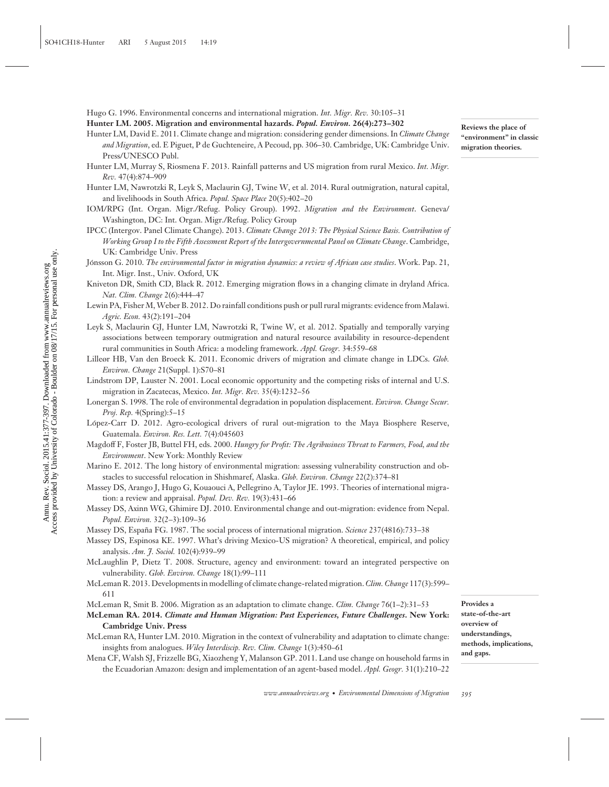Hugo G. 1996. Environmental concerns and international migration. *Int. Migr. Rev.* 30:105–31

**Hunter LM. 2005. Migration and environmental hazards.** *Popul. Environ.* **26(4):273–302**

- Hunter LM, David E. 2011. Climate change and migration: considering gender dimensions. In *Climate Change and Migration*, ed. E Piguet, P de Guchteneire, A Pecoud, pp. 306–30. Cambridge, UK: Cambridge Univ. Press/UNESCO Publ.
- Hunter LM, Murray S, Riosmena F. 2013. Rainfall patterns and US migration from rural Mexico. *Int. Migr. Rev.* 47(4):874–909
- Hunter LM, Nawrotzki R, Leyk S, Maclaurin GJ, Twine W, et al. 2014. Rural outmigration, natural capital, and livelihoods in South Africa. *Popul. Space Place* 20(5):402–20
- IOM/RPG (Int. Organ. Migr./Refug. Policy Group). 1992. *Migration and the Environment*. Geneva/ Washington, DC: Int. Organ. Migr./Refug. Policy Group
- IPCC (Intergov. Panel Climate Change). 2013. *Climate Change 2013: The Physical Science Basis. Contribution of Working Group I to the Fifth Assessment Report of the Intergovernmental Panel on Climate Change*. Cambridge, UK: Cambridge Univ. Press
- Jónsson G. 2010. *The environmental factor in migration dynamics: a review of African case studies*. Work. Pap. 21, Int. Migr. Inst., Univ. Oxford, UK
- Kniveton DR, Smith CD, Black R. 2012. Emerging migration flows in a changing climate in dryland Africa. *Nat. Clim. Change* 2(6):444–47
- Lewin PA, Fisher M, Weber B. 2012. Do rainfall conditions push or pull rural migrants: evidence from Malawi. *Agric. Econ.* 43(2):191–204
- Leyk S, Maclaurin GJ, Hunter LM, Nawrotzki R, Twine W, et al. 2012. Spatially and temporally varying associations between temporary outmigration and natural resource availability in resource-dependent rural communities in South Africa: a modeling framework. *Appl. Geogr.* 34:559–68
- Lilleør HB, Van den Broeck K. 2011. Economic drivers of migration and climate change in LDCs. *Glob. Environ. Change* 21(Suppl. 1):S70–81
- Lindstrom DP, Lauster N. 2001. Local economic opportunity and the competing risks of internal and U.S. migration in Zacatecas, Mexico. *Int. Migr. Rev.* 35(4):1232–56
- Lonergan S. 1998. The role of environmental degradation in population displacement. *Environ. Change Secur. Proj. Rep.* 4(Spring):5–15
- Lopez-Carr D. 2012. Agro-ecological drivers of rural out-migration to the Maya Biosphere Reserve, ´ Guatemala. *Environ. Res. Lett.* 7(4):045603
- Magdoff F, Foster JB, Buttel FH, eds. 2000. *Hungry for Profit: The Agribusiness Threat to Farmers, Food, and the Environment*. New York: Monthly Review
- Marino E. 2012. The long history of environmental migration: assessing vulnerability construction and obstacles to successful relocation in Shishmaref, Alaska. *Glob. Environ. Change* 22(2):374–81
- Massey DS, Arango J, Hugo G, Kouaouci A, Pellegrino A, Taylor JE. 1993. Theories of international migration: a review and appraisal. *Popul. Dev. Rev.* 19(3):431–66

Massey DS, Axinn WG, Ghimire DJ. 2010. Environmental change and out-migration: evidence from Nepal. *Popul. Environ.* 32(2–3):109–36

Massey DS, Espana FG. 1987. The social process of international migration. ˜ *Science* 237(4816):733–38

Massey DS, Espinosa KE. 1997. What's driving Mexico-US migration? A theoretical, empirical, and policy analysis. *Am. J. Sociol.* 102(4):939–99

- McLaughlin P, Dietz T. 2008. Structure, agency and environment: toward an integrated perspective on vulnerability. *Glob. Environ. Change* 18(1):99–111
- McLeman R. 2013. Developments in modelling of climate change-related migration.*Clim. Change* 117(3):599– 611

McLeman R, Smit B. 2006. Migration as an adaptation to climate change. *Clim. Change* 76(1–2):31–53 **Provides a**

- **McLeman RA. 2014.** *Climate and Human Migration: Past Experiences, Future Challenges***. New York: Cambridge Univ. Press**
- McLeman RA, Hunter LM. 2010. Migration in the context of vulnerability and adaptation to climate change: insights from analogues. *Wiley Interdiscip. Rev. Clim. Change* 1(3):450–61
- Mena CF, Walsh SJ, Frizzelle BG, Xiaozheng Y, Malanson GP. 2011. Land use change on household farms in the Ecuadorian Amazon: design and implementation of an agent-based model. *Appl. Geogr.* 31(1):210–22

**state-of-the-art overview of understandings, methods, implications, and gaps.**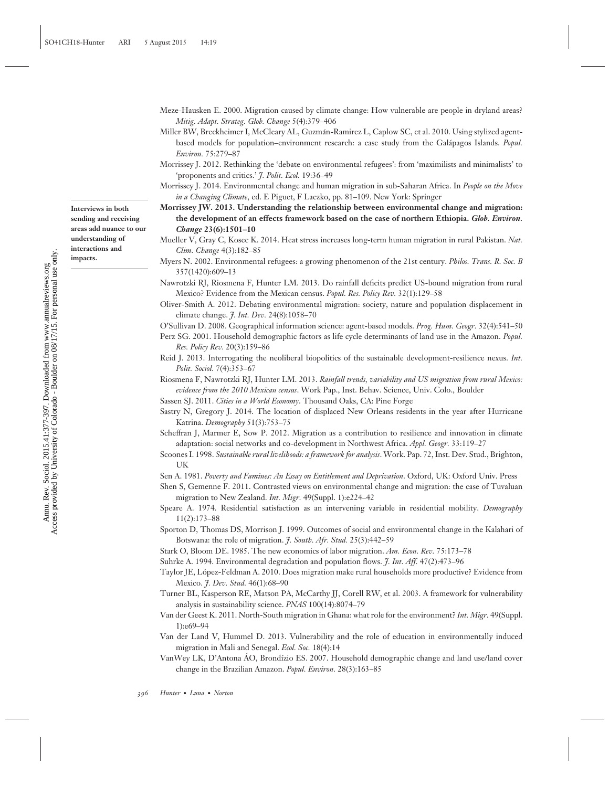**Interviews in both sending and receiving areas add nuance to our understanding of interactions and impacts.**

- Meze-Hausken E. 2000. Migration caused by climate change: How vulnerable are people in dryland areas? *Mitig. Adapt. Strateg. Glob. Change* 5(4):379–406
- Miller BW, Breckheimer I, McCleary AL, Guzman-Ramirez L, Caplow SC, et al. 2010. Using stylized agent- ´ based models for population–environment research: a case study from the Galápagos Islands. *Popul. Environ.* 75:279–87
- Morrissey J. 2012. Rethinking the 'debate on environmental refugees': from 'maximilists and minimalists' to 'proponents and critics.' *J. Polit. Ecol.* 19:36–49
- Morrissey J. 2014. Environmental change and human migration in sub-Saharan Africa. In *People on the Move in a Changing Climate*, ed. E Piguet, F Laczko, pp. 81–109. New York: Springer
- **Morrissey JW. 2013. Understanding the relationship between environmental change and migration: the development of an effects framework based on the case of northern Ethiopia.** *Glob. Environ. Change* **23(6):1501–10**
- Mueller V, Gray C, Kosec K. 2014. Heat stress increases long-term human migration in rural Pakistan. *Nat. Clim. Change* 4(3):182–85
- Myers N. 2002. Environmental refugees: a growing phenomenon of the 21st century. *Philos. Trans. R. Soc. B* 357(1420):609–13
- Nawrotzki RJ, Riosmena F, Hunter LM. 2013. Do rainfall deficits predict US-bound migration from rural Mexico? Evidence from the Mexican census. *Popul. Res. Policy Rev.* 32(1):129–58
- Oliver-Smith A. 2012. Debating environmental migration: society, nature and population displacement in climate change. *J. Int. Dev.* 24(8):1058–70
- O'Sullivan D. 2008. Geographical information science: agent-based models. *Prog. Hum. Geogr.* 32(4):541–50
- Perz SG. 2001. Household demographic factors as life cycle determinants of land use in the Amazon. *Popul. Res. Policy Rev.* 20(3):159–86
- Reid J. 2013. Interrogating the neoliberal biopolitics of the sustainable development-resilience nexus. *Int. Polit. Sociol.* 7(4):353–67
- Riosmena F, Nawrotzki RJ, Hunter LM. 2013. *Rainfall trends, variability and US migration from rural Mexico: evidence from the 2010 Mexican census*. Work Pap., Inst. Behav. Science, Univ. Colo., Boulder
- Sassen SJ. 2011. *Cities in a World Economy*. Thousand Oaks, CA: Pine Forge
- Sastry N, Gregory J. 2014. The location of displaced New Orleans residents in the year after Hurricane Katrina. *Demography* 51(3):753–75
- Scheffran J, Marmer E, Sow P. 2012. Migration as a contribution to resilience and innovation in climate adaptation: social networks and co-development in Northwest Africa. *Appl. Geogr.* 33:119–27
- Scoones I. 1998. *Sustainable rural livelihoods: a framework for analysis*. Work. Pap. 72, Inst. Dev. Stud., Brighton, UK
- Sen A. 1981. *Poverty and Famines: An Essay on Entitlement and Deprivation*. Oxford, UK: Oxford Univ. Press
- Shen S, Gemenne F. 2011. Contrasted views on environmental change and migration: the case of Tuvaluan migration to New Zealand. *Int. Migr.* 49(Suppl. 1):e224–42
- Speare A. 1974. Residential satisfaction as an intervening variable in residential mobility. *Demography* 11(2):173–88
- Sporton D, Thomas DS, Morrison J. 1999. Outcomes of social and environmental change in the Kalahari of Botswana: the role of migration. *J. South. Afr. Stud.* 25(3):442–59
- Stark O, Bloom DE. 1985. The new economics of labor migration. *Am. Econ. Rev.* 75:173–78
- Suhrke A. 1994. Environmental degradation and population flows. *J. Int. Aff.* 47(2):473–96
- Taylor JE, Lopez-Feldman A. 2010. Does migration make rural households more productive? Evidence from ´ Mexico. *J. Dev. Stud.* 46(1):68–90
- Turner BL, Kasperson RE, Matson PA, McCarthy JJ, Corell RW, et al. 2003. A framework for vulnerability analysis in sustainability science. *PNAS* 100(14):8074–79
- Van der Geest K. 2011. North-South migration in Ghana: what role for the environment? *Int. Migr.* 49(Suppl. 1):e69–94
- Van der Land V, Hummel D. 2013. Vulnerability and the role of education in environmentally induced migration in Mali and Senegal. *Ecol. Soc.* 18(4):14
- VanWey LK, D'Antona ÁO, Brondízio ES. 2007. Household demographic change and land use/land cover change in the Brazilian Amazon. *Popul. Environ.* 28(3):163–85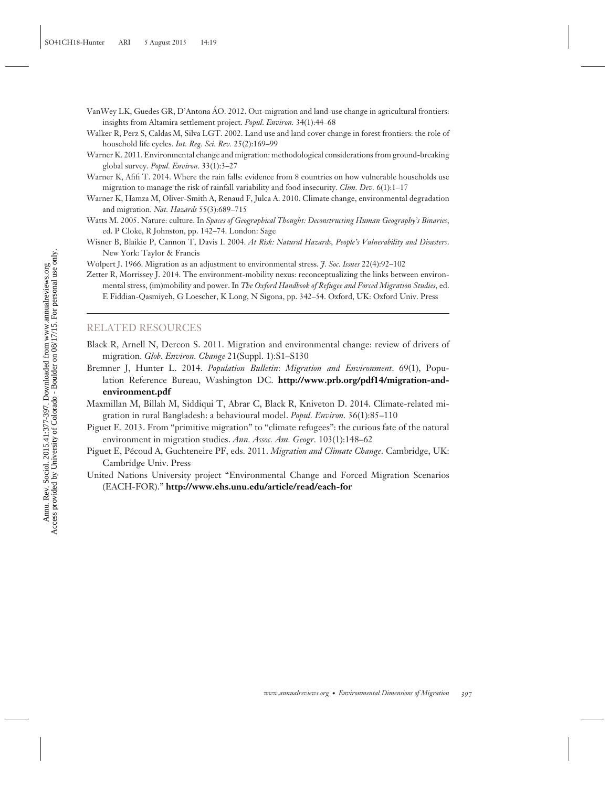- VanWey LK, Guedes GR, D'Antona AO. 2012. Out-migration and land-use change in agricultural frontiers: ´ insights from Altamira settlement project. *Popul. Environ.* 34(1):44–68
- Walker R, Perz S, Caldas M, Silva LGT. 2002. Land use and land cover change in forest frontiers: the role of household life cycles. *Int. Reg. Sci. Rev.* 25(2):169–99
- Warner K. 2011. Environmental change and migration: methodological considerations from ground-breaking global survey. *Popul. Environ.* 33(1):3–27
- Warner K, Afifi T. 2014. Where the rain falls: evidence from 8 countries on how vulnerable households use migration to manage the risk of rainfall variability and food insecurity. *Clim. Dev.* 6(1):1–17
- Warner K, Hamza M, Oliver-Smith A, Renaud F, Julca A. 2010. Climate change, environmental degradation and migration. *Nat. Hazards* 55(3):689–715
- Watts M. 2005. Nature: culture. In *Spaces of Geographical Thought: Deconstructing Human Geography's Binaries*, ed. P Cloke, R Johnston, pp. 142–74. London: Sage
- Wisner B, Blaikie P, Cannon T, Davis I. 2004. *At Risk: Natural Hazards, People's Vulnerability and Disasters*. New York: Taylor & Francis
- Wolpert J. 1966. Migration as an adjustment to environmental stress. *J. Soc. Issues* 22(4):92–102
- Zetter R, Morrissey J. 2014. The environment-mobility nexus: reconceptualizing the links between environmental stress, (im)mobility and power. In *The Oxford Handbook of Refugee and Forced Migration Studies*, ed. E Fiddian-Qasmiyeh, G Loescher, K Long, N Sigona, pp. 342–54. Oxford, UK: Oxford Univ. Press

#### RELATED RESOURCES

- Black R, Arnell N, Dercon S. 2011. Migration and environmental change: review of drivers of migration. *Glob. Environ. Change* 21(Suppl. 1):S1–S130
- Bremner J, Hunter L. 2014. *Population Bulletin*: *Migration and Environment*. 69(1), Population Reference Bureau, Washington DC. **[http://www.prb.org/pdf14/migration-and](http://www.prb.org/pdf14/migration-and-environment.pdf)[environment.pdf](http://www.prb.org/pdf14/migration-and-environment.pdf)**
- Maxmillan M, Billah M, Siddiqui T, Abrar C, Black R, Kniveton D. 2014. Climate-related migration in rural Bangladesh: a behavioural model. *Popul. Environ.* 36(1):85–110
- Piguet E. 2013. From "primitive migration" to "climate refugees": the curious fate of the natural environment in migration studies. *Ann. Assoc. Am. Geogr.* 103(1):148–62
- Piguet E, Pécoud A, Guchteneire PF, eds. 2011. *Migration and Climate Change*. Cambridge, UK: Cambridge Univ. Press
- United Nations University project "Environmental Change and Forced Migration Scenarios (EACH-FOR)." **<http://www.ehs.unu.edu/article/read/each-for>**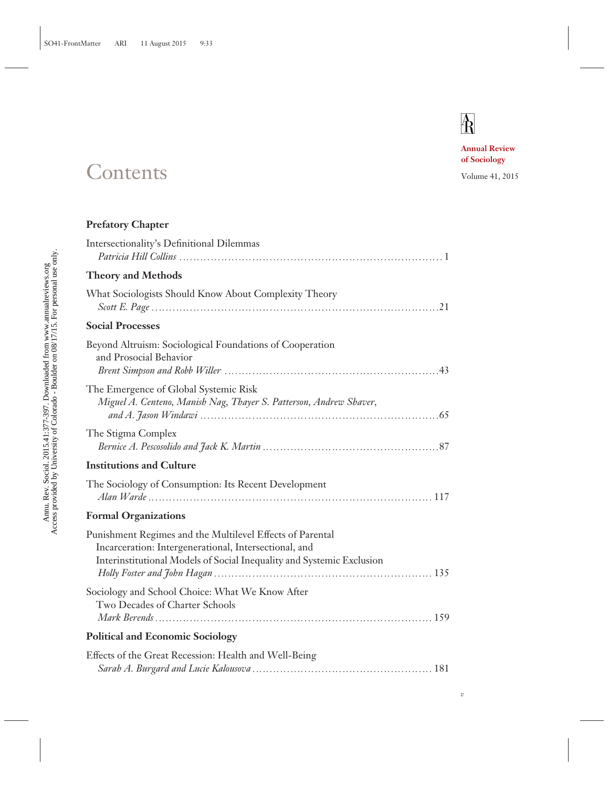# $\mathbf{\overline{R}}$

**Annual Review of Sociology**

# Contents Volume 41, 2015

# **Prefatory Chapter**

| Intersectionality's Definitional Dilemmas                                                                                                                                                   |
|---------------------------------------------------------------------------------------------------------------------------------------------------------------------------------------------|
| <b>Theory and Methods</b>                                                                                                                                                                   |
| What Sociologists Should Know About Complexity Theory                                                                                                                                       |
| <b>Social Processes</b>                                                                                                                                                                     |
| Beyond Altruism: Sociological Foundations of Cooperation<br>and Prosocial Behavior                                                                                                          |
| The Emergence of Global Systemic Risk<br>Miguel A. Centeno, Manish Nag, Thayer S. Patterson, Andrew Shaver,                                                                                 |
| The Stigma Complex                                                                                                                                                                          |
| <b>Institutions and Culture</b>                                                                                                                                                             |
| The Sociology of Consumption: Its Recent Development                                                                                                                                        |
| <b>Formal Organizations</b>                                                                                                                                                                 |
| Punishment Regimes and the Multilevel Effects of Parental<br>Incarceration: Intergenerational, Intersectional, and<br>Interinstitutional Models of Social Inequality and Systemic Exclusion |
| Sociology and School Choice: What We Know After<br>Two Decades of Charter Schools                                                                                                           |
| <b>Political and Economic Sociology</b>                                                                                                                                                     |
| Effects of the Great Recession: Health and Well-Being                                                                                                                                       |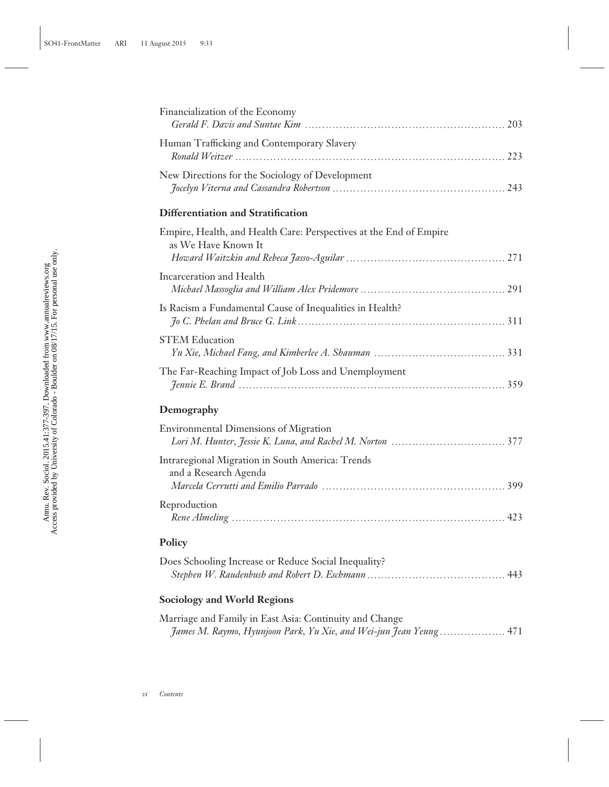| Financialization of the Economy                                                                                               |  |
|-------------------------------------------------------------------------------------------------------------------------------|--|
| Human Trafficking and Contemporary Slavery                                                                                    |  |
| New Directions for the Sociology of Development                                                                               |  |
| Differentiation and Stratification                                                                                            |  |
| Empire, Health, and Health Care: Perspectives at the End of Empire<br>as We Have Known It                                     |  |
| Incarceration and Health                                                                                                      |  |
| Is Racism a Fundamental Cause of Inequalities in Health?                                                                      |  |
| <b>STEM Education</b>                                                                                                         |  |
| The Far-Reaching Impact of Job Loss and Unemployment                                                                          |  |
| Demography                                                                                                                    |  |
| <b>Environmental Dimensions of Migration</b>                                                                                  |  |
| Intraregional Migration in South America: Trends<br>and a Research Agenda                                                     |  |
|                                                                                                                               |  |
| Reproduction                                                                                                                  |  |
| Policy                                                                                                                        |  |
| Does Schooling Increase or Reduce Social Inequality?                                                                          |  |
| <b>Sociology and World Regions</b>                                                                                            |  |
| Marriage and Family in East Asia: Continuity and Change<br>James M. Raymo, Hyunjoon Park, Yu Xie, and Wei-jun Jean Yeung  471 |  |